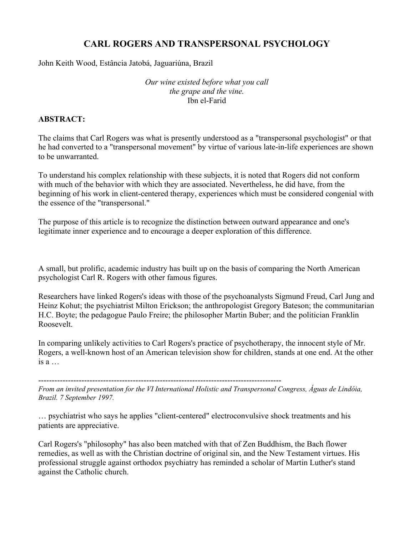# CARL ROGERS AND TRANSPERSONAL PSYCHOLOGY

John Keith Wood, Estância Jatobá, Jaguariúna, Brazil

*Our wine existed before what you call the grape and the vine.* Ibn el-Farid

# ABSTRACT:

The claims that Carl Rogers was what is presently understood as a "transpersonal psychologist" or that he had converted to a "transpersonal movement" by virtue of various late-in-life experiences are shown to be unwarranted.

To understand his complex relationship with these subjects, it is noted that Rogers did not conform with much of the behavior with which they are associated. Nevertheless, he did have, from the beginning of his work in client-centered therapy, experiences which must be considered congenial with the essence of the "transpersonal."

The purpose of this article is to recognize the distinction between outward appearance and one's legitimate inner experience and to encourage a deeper exploration of this difference.

A small, but prolific, academic industry has built up on the basis of comparing the North American psychologist Carl R. Rogers with other famous figures.

Researchers have linked Rogers's ideas with those of the psychoanalysts Sigmund Freud, Carl Jung and Heinz Kohut; the psychiatrist Milton Erickson; the anthropologist Gregory Bateson; the communitarian H.C. Boyte; the pedagogue Paulo Freire; the philosopher Martin Buber; and the politician Franklin Roosevelt.

In comparing unlikely activities to Carl Rogers's practice of psychotherapy, the innocent style of Mr. Rogers, a well-known host of an American television show for children, stands at one end. At the other is a …

------------------------------------------------------------------------------------------ *From an invited presentation for the VI International Holistic and Transpersonal Congress, Águas de Lindóia, Brazil. 7 September 1997.*

… psychiatrist who says he applies "client-centered" electroconvulsive shock treatments and his patients are appreciative.

Carl Rogers's "philosophy" has also been matched with that of Zen Buddhism, the Bach flower remedies, as well as with the Christian doctrine of original sin, and the New Testament virtues. His professional struggle against orthodox psychiatry has reminded a scholar of Martin Luther's stand against the Catholic church.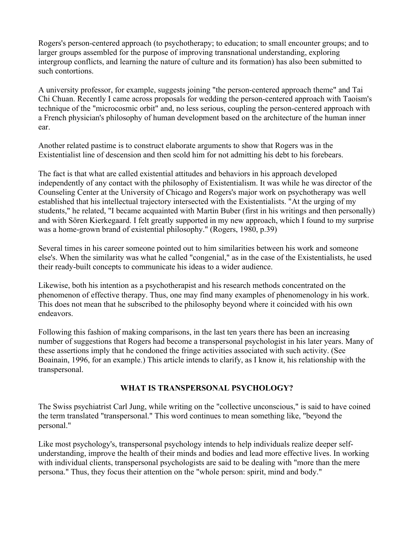Rogers's person-centered approach (to psychotherapy; to education; to small encounter groups; and to larger groups assembled for the purpose of improving transnational understanding, exploring intergroup conflicts, and learning the nature of culture and its formation) has also been submitted to such contortions.

A university professor, for example, suggests joining "the person-centered approach theme" and Tai Chi Chuan. Recently I came across proposals for wedding the person-centered approach with Taoism's technique of the "microcosmic orbit" and, no less serious, coupling the person-centered approach with a French physician's philosophy of human development based on the architecture of the human inner ear.

Another related pastime is to construct elaborate arguments to show that Rogers was in the Existentialist line of descension and then scold him for not admitting his debt to his forebears.

The fact is that what are called existential attitudes and behaviors in his approach developed independently of any contact with the philosophy of Existentialism. It was while he was director of the Counseling Center at the University of Chicago and Rogers's major work on psychotherapy was well established that his intellectual trajectory intersected with the Existentialists. "At the urging of my students," he related, "I became acquainted with Martin Buber (first in his writings and then personally) and with Sören Kierkegaard. I felt greatly supported in my new approach, which I found to my surprise was a home-grown brand of existential philosophy." (Rogers, 1980, p.39)

Several times in his career someone pointed out to him similarities between his work and someone else's. When the similarity was what he called "congenial," as in the case of the Existentialists, he used their ready-built concepts to communicate his ideas to a wider audience.

Likewise, both his intention as a psychotherapist and his research methods concentrated on the phenomenon of effective therapy. Thus, one may find many examples of phenomenology in his work. This does not mean that he subscribed to the philosophy beyond where it coincided with his own endeavors.

Following this fashion of making comparisons, in the last ten years there has been an increasing number of suggestions that Rogers had become a transpersonal psychologist in his later years. Many of these assertions imply that he condoned the fringe activities associated with such activity. (See Boainain, 1996, for an example.) This article intends to clarify, as I know it, his relationship with the transpersonal.

# WHAT IS TRANSPERSONAL PSYCHOLOGY?

The Swiss psychiatrist Carl Jung, while writing on the "collective unconscious," is said to have coined the term translated "transpersonal." This word continues to mean something like, "beyond the personal."

Like most psychology's, transpersonal psychology intends to help individuals realize deeper selfunderstanding, improve the health of their minds and bodies and lead more effective lives. In working with individual clients, transpersonal psychologists are said to be dealing with "more than the mere persona." Thus, they focus their attention on the "whole person: spirit, mind and body."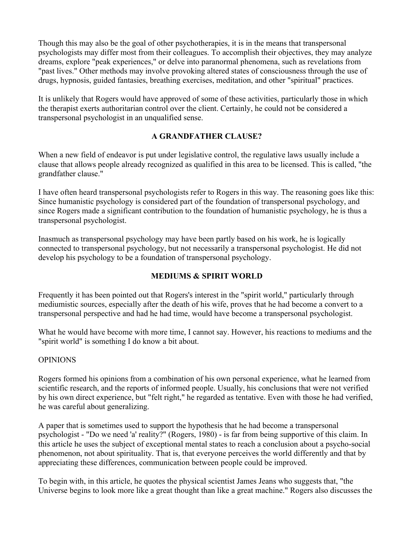Though this may also be the goal of other psychotherapies, it is in the means that transpersonal psychologists may differ most from their colleagues. To accomplish their objectives, they may analyze dreams, explore "peak experiences," or delve into paranormal phenomena, such as revelations from "past lives." Other methods may involve provoking altered states of consciousness through the use of drugs, hypnosis, guided fantasies, breathing exercises, meditation, and other "spiritual" practices.

It is unlikely that Rogers would have approved of some of these activities, particularly those in which the therapist exerts authoritarian control over the client. Certainly, he could not be considered a transpersonal psychologist in an unqualified sense.

# A GRANDFATHER CLAUSE?

When a new field of endeavor is put under legislative control, the regulative laws usually include a clause that allows people already recognized as qualified in this area to be licensed. This is called, "the grandfather clause."

I have often heard transpersonal psychologists refer to Rogers in this way. The reasoning goes like this: Since humanistic psychology is considered part of the foundation of transpersonal psychology, and since Rogers made a significant contribution to the foundation of humanistic psychology, he is thus a transpersonal psychologist.

Inasmuch as transpersonal psychology may have been partly based on his work, he is logically connected to transpersonal psychology, but not necessarily a transpersonal psychologist. He did not develop his psychology to be a foundation of transpersonal psychology.

# MEDIUMS & SPIRIT WORLD

Frequently it has been pointed out that Rogers's interest in the "spirit world," particularly through mediumistic sources, especially after the death of his wife, proves that he had become a convert to a transpersonal perspective and had he had time, would have become a transpersonal psychologist.

What he would have become with more time, I cannot say. However, his reactions to mediums and the "spirit world" is something I do know a bit about.

# OPINIONS

Rogers formed his opinions from a combination of his own personal experience, what he learned from scientific research, and the reports of informed people. Usually, his conclusions that were not verified by his own direct experience, but "felt right," he regarded as tentative. Even with those he had verified, he was careful about generalizing.

A paper that is sometimes used to support the hypothesis that he had become a transpersonal psychologist - "Do we need 'a' reality?" (Rogers, 1980) - is far from being supportive of this claim. In this article he uses the subject of exceptional mental states to reach a conclusion about a psycho-social phenomenon, not about spirituality. That is, that everyone perceives the world differently and that by appreciating these differences, communication between people could be improved.

To begin with, in this article, he quotes the physical scientist James Jeans who suggests that, "the Universe begins to look more like a great thought than like a great machine." Rogers also discusses the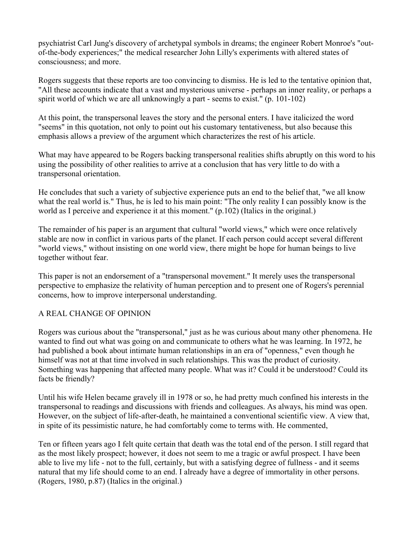psychiatrist Carl Jung's discovery of archetypal symbols in dreams; the engineer Robert Monroe's "outof-the-body experiences;" the medical researcher John Lilly's experiments with altered states of consciousness; and more.

Rogers suggests that these reports are too convincing to dismiss. He is led to the tentative opinion that, "All these accounts indicate that a vast and mysterious universe - perhaps an inner reality, or perhaps a spirit world of which we are all unknowingly a part - seems to exist." (p. 101-102)

At this point, the transpersonal leaves the story and the personal enters. I have italicized the word "seems" in this quotation, not only to point out his customary tentativeness, but also because this emphasis allows a preview of the argument which characterizes the rest of his article.

What may have appeared to be Rogers backing transpersonal realities shifts abruptly on this word to his using the possibility of other realities to arrive at a conclusion that has very little to do with a transpersonal orientation.

He concludes that such a variety of subjective experience puts an end to the belief that, "we all know what the real world is." Thus, he is led to his main point: "The only reality I can possibly know is the world as I perceive and experience it at this moment." (p.102) (Italics in the original.)

The remainder of his paper is an argument that cultural "world views," which were once relatively stable are now in conflict in various parts of the planet. If each person could accept several different "world views," without insisting on one world view, there might be hope for human beings to live together without fear.

This paper is not an endorsement of a "transpersonal movement." It merely uses the transpersonal perspective to emphasize the relativity of human perception and to present one of Rogers's perennial concerns, how to improve interpersonal understanding.

# A REAL CHANGE OF OPINION

Rogers was curious about the "transpersonal," just as he was curious about many other phenomena. He wanted to find out what was going on and communicate to others what he was learning. In 1972, he had published a book about intimate human relationships in an era of "openness," even though he himself was not at that time involved in such relationships. This was the product of curiosity. Something was happening that affected many people. What was it? Could it be understood? Could its facts be friendly?

Until his wife Helen became gravely ill in 1978 or so, he had pretty much confined his interests in the transpersonal to readings and discussions with friends and colleagues. As always, his mind was open. However, on the subject of life-after-death, he maintained a conventional scientific view. A view that, in spite of its pessimistic nature, he had comfortably come to terms with. He commented,

Ten or fifteen years ago I felt quite certain that death was the total end of the person. I still regard that as the most likely prospect; however, it does not seem to me a tragic or awful prospect. I have been able to live my life - not to the full, certainly, but with a satisfying degree of fullness - and it seems natural that my life should come to an end. I already have a degree of immortality in other persons. (Rogers, 1980, p.87) (Italics in the original.)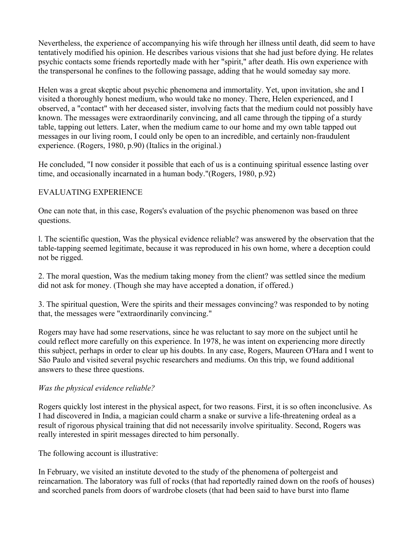Nevertheless, the experience of accompanying his wife through her illness until death, did seem to have tentatively modified his opinion. He describes various visions that she had just before dying. He relates psychic contacts some friends reportedly made with her "spirit," after death. His own experience with the transpersonal he confines to the following passage, adding that he would someday say more.

Helen was a great skeptic about psychic phenomena and immortality. Yet, upon invitation, she and I visited a thoroughly honest medium, who would take no money. There, Helen experienced, and I observed, a "contact" with her deceased sister, involving facts that the medium could not possibly have known. The messages were extraordinarily convincing, and all came through the tipping of a sturdy table, tapping out letters. Later, when the medium came to our home and my own table tapped out messages in our living room, I could only be open to an incredible, and certainly non-fraudulent experience. (Rogers, 1980, p.90) (Italics in the original.)

He concluded, "I now consider it possible that each of us is a continuing spiritual essence lasting over time, and occasionally incarnated in a human body."(Rogers, 1980, p.92)

### EVALUATING EXPERIENCE

One can note that, in this case, Rogers's evaluation of the psychic phenomenon was based on three questions.

l. The scientific question, Was the physical evidence reliable? was answered by the observation that the table-tapping seemed legitimate, because it was reproduced in his own home, where a deception could not be rigged.

2. The moral question, Was the medium taking money from the client? was settled since the medium did not ask for money. (Though she may have accepted a donation, if offered.)

3. The spiritual question, Were the spirits and their messages convincing? was responded to by noting that, the messages were "extraordinarily convincing."

Rogers may have had some reservations, since he was reluctant to say more on the subject until he could reflect more carefully on this experience. In 1978, he was intent on experiencing more directly this subject, perhaps in order to clear up his doubts. In any case, Rogers, Maureen O'Hara and I went to São Paulo and visited several psychic researchers and mediums. On this trip, we found additional answers to these three questions.

# *Was the physical evidence reliable?*

Rogers quickly lost interest in the physical aspect, for two reasons. First, it is so often inconclusive. As I had discovered in India, a magician could charm a snake or survive a life-threatening ordeal as a result of rigorous physical training that did not necessarily involve spirituality. Second, Rogers was really interested in spirit messages directed to him personally.

The following account is illustrative:

In February, we visited an institute devoted to the study of the phenomena of poltergeist and reincarnation. The laboratory was full of rocks (that had reportedly rained down on the roofs of houses) and scorched panels from doors of wardrobe closets (that had been said to have burst into flame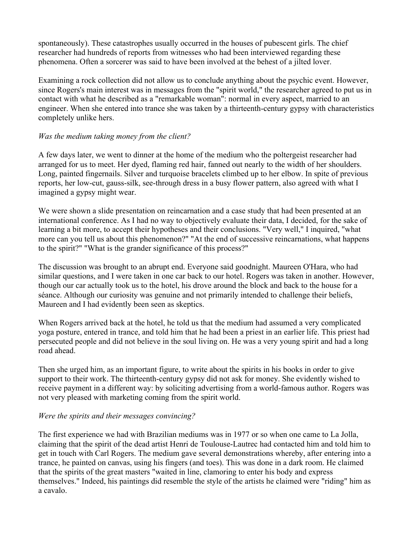spontaneously). These catastrophes usually occurred in the houses of pubescent girls. The chief researcher had hundreds of reports from witnesses who had been interviewed regarding these phenomena. Often a sorcerer was said to have been involved at the behest of a jilted lover.

Examining a rock collection did not allow us to conclude anything about the psychic event. However, since Rogers's main interest was in messages from the "spirit world," the researcher agreed to put us in contact with what he described as a "remarkable woman": normal in every aspect, married to an engineer. When she entered into trance she was taken by a thirteenth-century gypsy with characteristics completely unlike hers.

# *Was the medium taking money from the client?*

A few days later, we went to dinner at the home of the medium who the poltergeist researcher had arranged for us to meet. Her dyed, flaming red hair, fanned out nearly to the width of her shoulders. Long, painted fingernails. Silver and turquoise bracelets climbed up to her elbow. In spite of previous reports, her low-cut, gauss-silk, see-through dress in a busy flower pattern, also agreed with what I imagined a gypsy might wear.

We were shown a slide presentation on reincarnation and a case study that had been presented at an international conference. As I had no way to objectively evaluate their data, I decided, for the sake of learning a bit more, to accept their hypotheses and their conclusions. "Very well," I inquired, "what more can you tell us about this phenomenon?" "At the end of successive reincarnations, what happens to the spirit?" "What is the grander significance of this process?"

The discussion was brought to an abrupt end. Everyone said goodnight. Maureen O'Hara, who had similar questions, and I were taken in one car back to our hotel. Rogers was taken in another. However, though our car actually took us to the hotel, his drove around the block and back to the house for a séance. Although our curiosity was genuine and not primarily intended to challenge their beliefs, Maureen and I had evidently been seen as skeptics.

When Rogers arrived back at the hotel, he told us that the medium had assumed a very complicated yoga posture, entered in trance, and told him that he had been a priest in an earlier life. This priest had persecuted people and did not believe in the soul living on. He was a very young spirit and had a long road ahead.

Then she urged him, as an important figure, to write about the spirits in his books in order to give support to their work. The thirteenth-century gypsy did not ask for money. She evidently wished to receive payment in a different way: by soliciting advertising from a world-famous author. Rogers was not very pleased with marketing coming from the spirit world.

#### *Were the spirits and their messages convincing?*

The first experience we had with Brazilian mediums was in 1977 or so when one came to La Jolla, claiming that the spirit of the dead artist Henri de Toulouse-Lautrec had contacted him and told him to get in touch with Carl Rogers. The medium gave several demonstrations whereby, after entering into a trance, he painted on canvas, using his fingers (and toes). This was done in a dark room. He claimed that the spirits of the great masters "waited in line, clamoring to enter his body and express themselves." Indeed, his paintings did resemble the style of the artists he claimed were "riding" him as a cavalo.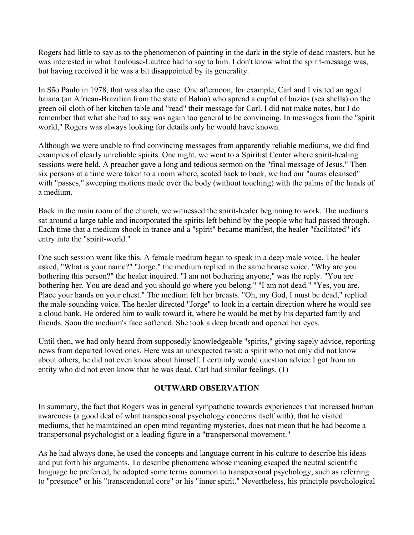Rogers had little to say as to the phenomenon of painting in the dark in the style of dead masters, but he was interested in what Toulouse-Lautrec had to say to him. I don't know what the spirit-message was, but having received it he was a bit disappointed by its generality.

In São Paulo in 1978, that was also the case. One afternoon, for example, Carl and I visited an aged baiana (an African-Brazilian from the state of Bahia) who spread a cupful of buzios (sea shells) on the green oil cloth of her kitchen table and "read" their message for Carl. I did not make notes, but I do remember that what she had to say was again too general to be convincing. In messages from the "spirit world," Rogers was always looking for details only he would have known.

Although we were unable to find convincing messages from apparently reliable mediums, we did find examples of clearly unreliable spirits. One night, we went to a Spiritist Center where spirit-healing sessions were held. A preacher gave a long and tedious sermon on the "final message of Jesus." Then six persons at a time were taken to a room where, seated back to back, we had our "auras cleansed" with "passes," sweeping motions made over the body (without touching) with the palms of the hands of a medium.

Back in the main room of the church, we witnessed the spirit-healer beginning to work. The mediums sat around a large table and incorporated the spirits left behind by the people who had passed through. Each time that a medium shook in trance and a "spirit" became manifest, the healer "facilitated" it's entry into the "spirit-world."

One such session went like this. A female medium began to speak in a deep male voice. The healer asked, "What is your name?" "Jorge," the medium replied in the same hoarse voice. "Why are you bothering this person?" the healer inquired. "I am not bothering anyone," was the reply. "You are bothering her. You are dead and you should go where you belong." "I am not dead." "Yes, you are. Place your hands on your chest." The medium felt her breasts. "Oh, my God, I must be dead," replied the male-sounding voice. The healer directed "Jorge" to look in a certain direction where he would see a cloud bank. He ordered him to walk toward it, where he would be met by his departed family and friends. Soon the medium's face softened. She took a deep breath and opened her eyes.

Until then, we had only heard from supposedly knowledgeable "spirits," giving sagely advice, reporting news from departed loved ones. Here was an unexpected twist: a spirit who not only did not know about others, he did not even know about himself. I certainly would question advice I got from an entity who did not even know that he was dead. Carl had similar feelings. (1)

# OUTWARD OBSERVATION

In summary, the fact that Rogers was in general sympathetic towards experiences that increased human awareness (a good deal of what transpersonal psychology concerns itself with), that he visited mediums, that he maintained an open mind regarding mysteries, does not mean that he had become a transpersonal psychologist or a leading figure in a "transpersonal movement."

As he had always done, he used the concepts and language current in his culture to describe his ideas and put forth his arguments. To describe phenomena whose meaning escaped the neutral scientific language he preferred, he adopted some terms common to transpersonal psychology, such as referring to "presence" or his "transcendental core" or his "inner spirit." Nevertheless, his principle psychological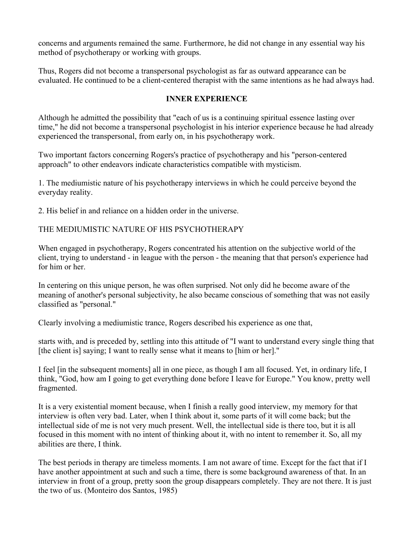concerns and arguments remained the same. Furthermore, he did not change in any essential way his method of psychotherapy or working with groups.

Thus, Rogers did not become a transpersonal psychologist as far as outward appearance can be evaluated. He continued to be a client-centered therapist with the same intentions as he had always had.

# INNER EXPERIENCE

Although he admitted the possibility that "each of us is a continuing spiritual essence lasting over time," he did not become a transpersonal psychologist in his interior experience because he had already experienced the transpersonal, from early on, in his psychotherapy work.

Two important factors concerning Rogers's practice of psychotherapy and his "person-centered approach" to other endeavors indicate characteristics compatible with mysticism.

1. The mediumistic nature of his psychotherapy interviews in which he could perceive beyond the everyday reality.

2. His belief in and reliance on a hidden order in the universe.

# THE MEDIUMISTIC NATURE OF HIS PSYCHOTHERAPY

When engaged in psychotherapy, Rogers concentrated his attention on the subjective world of the client, trying to understand - in league with the person - the meaning that that person's experience had for him or her.

In centering on this unique person, he was often surprised. Not only did he become aware of the meaning of another's personal subjectivity, he also became conscious of something that was not easily classified as "personal."

Clearly involving a mediumistic trance, Rogers described his experience as one that,

starts with, and is preceded by, settling into this attitude of "I want to understand every single thing that [the client is] saying; I want to really sense what it means to [him or her]."

I feel [in the subsequent moments] all in one piece, as though I am all focused. Yet, in ordinary life, I think, "God, how am I going to get everything done before I leave for Europe." You know, pretty well fragmented.

It is a very existential moment because, when I finish a really good interview, my memory for that interview is often very bad. Later, when I think about it, some parts of it will come back; but the intellectual side of me is not very much present. Well, the intellectual side is there too, but it is all focused in this moment with no intent of thinking about it, with no intent to remember it. So, all my abilities are there, I think.

The best periods in therapy are timeless moments. I am not aware of time. Except for the fact that if I have another appointment at such and such a time, there is some background awareness of that. In an interview in front of a group, pretty soon the group disappears completely. They are not there. It is just the two of us. (Monteiro dos Santos, 1985)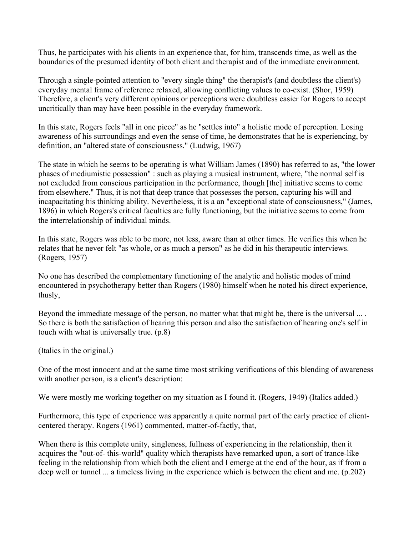Thus, he participates with his clients in an experience that, for him, transcends time, as well as the boundaries of the presumed identity of both client and therapist and of the immediate environment.

Through a single-pointed attention to "every single thing" the therapist's (and doubtless the client's) everyday mental frame of reference relaxed, allowing conflicting values to co-exist. (Shor, 1959) Therefore, a client's very different opinions or perceptions were doubtless easier for Rogers to accept uncritically than may have been possible in the everyday framework.

In this state, Rogers feels "all in one piece" as he "settles into" a holistic mode of perception. Losing awareness of his surroundings and even the sense of time, he demonstrates that he is experiencing, by definition, an "altered state of consciousness." (Ludwig, 1967)

The state in which he seems to be operating is what William James (1890) has referred to as, "the lower phases of mediumistic possession" : such as playing a musical instrument, where, "the normal self is not excluded from conscious participation in the performance, though [the] initiative seems to come from elsewhere." Thus, it is not that deep trance that possesses the person, capturing his will and incapacitating his thinking ability. Nevertheless, it is a an "exceptional state of consciousness," (James, 1896) in which Rogers's critical faculties are fully functioning, but the initiative seems to come from the interrelationship of individual minds.

In this state, Rogers was able to be more, not less, aware than at other times. He verifies this when he relates that he never felt "as whole, or as much a person" as he did in his therapeutic interviews. (Rogers, 1957)

No one has described the complementary functioning of the analytic and holistic modes of mind encountered in psychotherapy better than Rogers (1980) himself when he noted his direct experience, thusly,

Beyond the immediate message of the person, no matter what that might be, there is the universal ... . So there is both the satisfaction of hearing this person and also the satisfaction of hearing one's self in touch with what is universally true. (p.8)

(Italics in the original.)

One of the most innocent and at the same time most striking verifications of this blending of awareness with another person, is a client's description:

We were mostly me working together on my situation as I found it. (Rogers, 1949) (Italics added.)

Furthermore, this type of experience was apparently a quite normal part of the early practice of clientcentered therapy. Rogers (1961) commented, matter-of-factly, that,

When there is this complete unity, singleness, fullness of experiencing in the relationship, then it acquires the "out-of- this-world" quality which therapists have remarked upon, a sort of trance-like feeling in the relationship from which both the client and I emerge at the end of the hour, as if from a deep well or tunnel ... a timeless living in the experience which is between the client and me. (p.202)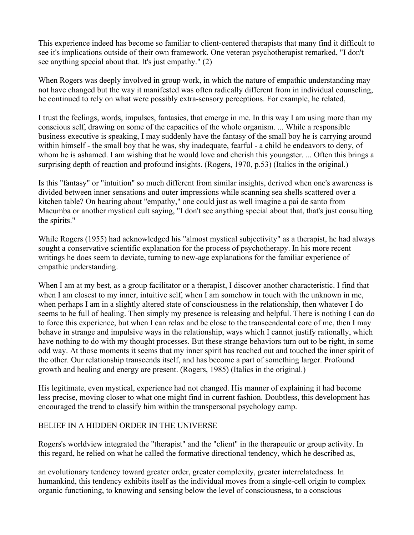This experience indeed has become so familiar to client-centered therapists that many find it difficult to see it's implications outside of their own framework. One veteran psychotherapist remarked, "I don't see anything special about that. It's just empathy." (2)

When Rogers was deeply involved in group work, in which the nature of empathic understanding may not have changed but the way it manifested was often radically different from in individual counseling, he continued to rely on what were possibly extra-sensory perceptions. For example, he related,

I trust the feelings, words, impulses, fantasies, that emerge in me. In this way I am using more than my conscious self, drawing on some of the capacities of the whole organism. ... While a responsible business executive is speaking, I may suddenly have the fantasy of the small boy he is carrying around within himself - the small boy that he was, shy inadequate, fearful - a child he endeavors to deny, of whom he is ashamed. I am wishing that he would love and cherish this youngster. ... Often this brings a surprising depth of reaction and profound insights. (Rogers, 1970, p.53) (Italics in the original.)

Is this "fantasy" or "intuition" so much different from similar insights, derived when one's awareness is divided between inner sensations and outer impressions while scanning sea shells scattered over a kitchen table? On hearing about "empathy," one could just as well imagine a pai de santo from Macumba or another mystical cult saying, "I don't see anything special about that, that's just consulting the spirits."

While Rogers (1955) had acknowledged his "almost mystical subjectivity" as a therapist, he had always sought a conservative scientific explanation for the process of psychotherapy. In his more recent writings he does seem to deviate, turning to new-age explanations for the familiar experience of empathic understanding.

When I am at my best, as a group facilitator or a therapist, I discover another characteristic. I find that when I am closest to my inner, intuitive self, when I am somehow in touch with the unknown in me, when perhaps I am in a slightly altered state of consciousness in the relationship, then whatever I do seems to be full of healing. Then simply my presence is releasing and helpful. There is nothing I can do to force this experience, but when I can relax and be close to the transcendental core of me, then I may behave in strange and impulsive ways in the relationship, ways which I cannot justify rationally, which have nothing to do with my thought processes. But these strange behaviors turn out to be right, in some odd way. At those moments it seems that my inner spirit has reached out and touched the inner spirit of the other. Our relationship transcends itself, and has become a part of something larger. Profound growth and healing and energy are present. (Rogers, 1985) (Italics in the original.)

His legitimate, even mystical, experience had not changed. His manner of explaining it had become less precise, moving closer to what one might find in current fashion. Doubtless, this development has encouraged the trend to classify him within the transpersonal psychology camp.

# BELIEF IN A HIDDEN ORDER IN THE UNIVERSE

Rogers's worldview integrated the "therapist" and the "client" in the therapeutic or group activity. In this regard, he relied on what he called the formative directional tendency, which he described as,

an evolutionary tendency toward greater order, greater complexity, greater interrelatedness. In humankind, this tendency exhibits itself as the individual moves from a single-cell origin to complex organic functioning, to knowing and sensing below the level of consciousness, to a conscious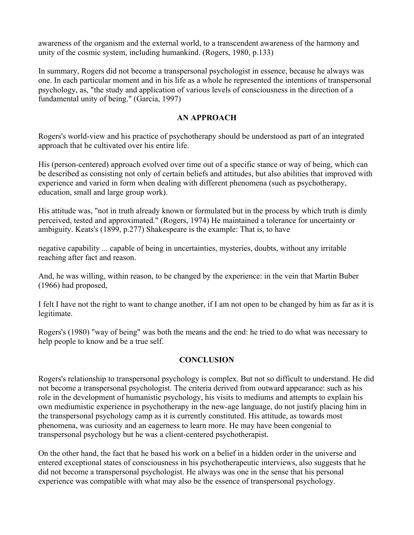awareness of the organism and the external world, to a transcendent awareness of the harmony and unity of the cosmic system, including humankind. (Rogers, 1980, p.133)

In summary, Rogers did not become a transpersonal psychologist in essence, because he always was one. In each particular moment and in his life as a whole he represented the intentions of transpersonal psychology, as, "the study and application of various levels of consciousness in the direction of a fundamental unity of being." (Garcia, 1997)

# AN APPROACH

Rogers's world-view and his practice of psychotherapy should be understood as part of an integrated approach that he cultivated over his entire life.

His (person-centered) approach evolved over time out of a specific stance or way of being, which can be described as consisting not only of certain beliefs and attitudes, but also abilities that improved with experience and varied in form when dealing with different phenomena (such as psychotherapy, education, small and large group work).

His attitude was, "not in truth already known or formulated but in the process by which truth is dimly perceived, tested and approximated." (Rogers, 1974) He maintained a tolerance for uncertainty or ambiguity. Keats's (1899, p.277) Shakespeare is the example: That is, to have

negative capability ... capable of being in uncertainties, mysteries, doubts, without any irritable reaching after fact and reason.

And, he was willing, within reason, to be changed by the experience: in the vein that Martin Buber (1966) had proposed,

I felt I have not the right to want to change another, if I am not open to be changed by him as far as it is legitimate.

Rogers's (1980) "way of being" was both the means and the end: he tried to do what was necessary to help people to know and be a true self.

# **CONCLUSION**

Rogers's relationship to transpersonal psychology is complex. But not so difficult to understand. He did not become a transpersonal psychologist. The criteria derived from outward appearance: such as his role in the development of humanistic psychology, his visits to mediums and attempts to explain his own mediumistic experience in psychotherapy in the new-age language, do not justify placing him in the transpersonal psychology camp as it is currently constituted. His attitude, as towards most phenomena, was curiosity and an eagerness to learn more. He may have been congenial to transpersonal psychology but he was a client-centered psychotherapist.

On the other hand, the fact that he based his work on a belief in a hidden order in the universe and entered exceptional states of consciousness in his psychotherapeutic interviews, also suggests that he did not become a transpersonal psychologist. He always was one in the sense that his personal experience was compatible with what may also be the essence of transpersonal psychology.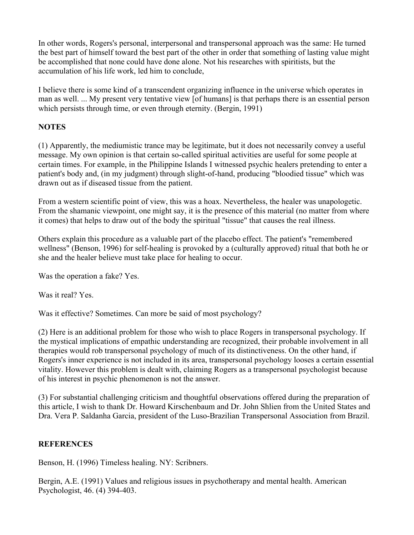In other words, Rogers's personal, interpersonal and transpersonal approach was the same: He turned the best part of himself toward the best part of the other in order that something of lasting value might be accomplished that none could have done alone. Not his researches with spiritists, but the accumulation of his life work, led him to conclude,

I believe there is some kind of a transcendent organizing influence in the universe which operates in man as well. ... My present very tentative view [of humans] is that perhaps there is an essential person which persists through time, or even through eternity. (Bergin, 1991)

# **NOTES**

(1) Apparently, the mediumistic trance may be legitimate, but it does not necessarily convey a useful message. My own opinion is that certain so-called spiritual activities are useful for some people at certain times. For example, in the Philippine Islands I witnessed psychic healers pretending to enter a patient's body and, (in my judgment) through slight-of-hand, producing "bloodied tissue" which was drawn out as if diseased tissue from the patient.

From a western scientific point of view, this was a hoax. Nevertheless, the healer was unapologetic. From the shamanic viewpoint, one might say, it is the presence of this material (no matter from where it comes) that helps to draw out of the body the spiritual "tissue" that causes the real illness.

Others explain this procedure as a valuable part of the placebo effect. The patient's "remembered wellness" (Benson, 1996) for self-healing is provoked by a (culturally approved) ritual that both he or she and the healer believe must take place for healing to occur.

Was the operation a fake? Yes.

Was it real? Yes.

Was it effective? Sometimes. Can more be said of most psychology?

(2) Here is an additional problem for those who wish to place Rogers in transpersonal psychology. If the mystical implications of empathic understanding are recognized, their probable involvement in all therapies would rob transpersonal psychology of much of its distinctiveness. On the other hand, if Rogers's inner experience is not included in its area, transpersonal psychology looses a certain essential vitality. However this problem is dealt with, claiming Rogers as a transpersonal psychologist because of his interest in psychic phenomenon is not the answer.

(3) For substantial challenging criticism and thoughtful observations offered during the preparation of this article, I wish to thank Dr. Howard Kirschenbaum and Dr. John Shlien from the United States and Dra. Vera P. Saldanha Garcia, president of the Luso-Brazilian Transpersonal Association from Brazil.

# **REFERENCES**

Benson, H. (1996) Timeless healing. NY: Scribners.

Bergin, A.E. (1991) Values and religious issues in psychotherapy and mental health. American Psychologist, 46. (4) 394-403.